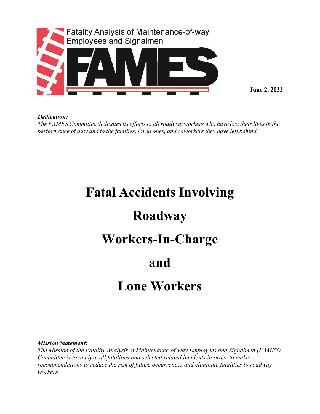

**June 2, 2022**

## *Dedication:*

*The FAMES Committee dedicatesits effortsto allroadway workers who have lost theirlivesin the performance of duty and to the families, loved ones, and coworkers they have left behind.*

## **Fatal Accidents Involving Roadway Workers-In-Charge and Lone Workers**

*Mission Statement:*

*The Mission of the Fatality Analysis of Maintenance-of-way Employees and Signalmen (FAMES) Committee is to analyze all fatalities and selected related incidents in order to make recommendations to reduce the risk of future occurrences and eliminate fatalities to roadway workers.*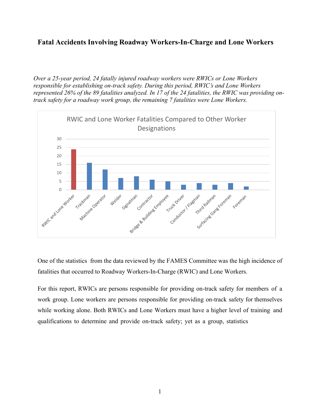## **Fatal Accidents Involving Roadway Workers-In-Charge and Lone Workers**

*Over a 25-year period, 24 fatally injured roadway workers were RWICs or Lone Workers responsible for establishing on-track safety. During this period, RWIC's and Lone Workers represented 26% of the 89 fatalities analyzed. In 17 of the 24 fatalities, the RWIC was providing ontrack safety for a roadway work group, the remaining 7 fatalities were Lone Workers.* 



One of the statistics from the data reviewed by the FAMES Committee was the high incidence of fatalities that occurred to Roadway Workers-In-Charge (RWIC) and Lone Workers.

For this report, RWICs are persons responsible for providing on-track safety for members of a work group. Lone workers are persons responsible for providing on-track safety for themselves while working alone. Both RWICs and Lone Workers must have a higher level of training and qualifications to determine and provide on-track safety; yet as a group, statistics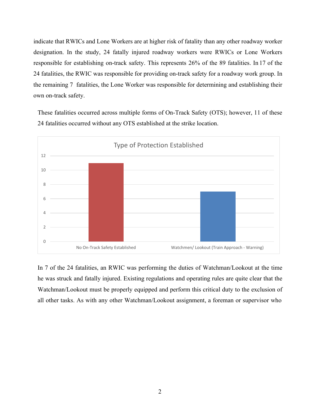indicate that RWICs and Lone Workers are at higher risk of fatality than any other roadway worker designation. In the study, 24 fatally injured roadway workers were RWICs or Lone Workers responsible for establishing on-track safety. This represents 26% of the 89 fatalities. In 17 of the 24 fatalities, the RWIC was responsible for providing on-track safety for a roadway work group. In the remaining 7 fatalities, the Lone Worker was responsible for determining and establishing their own on-track safety.

These fatalities occurred across multiple forms of On-Track Safety (OTS); however, 11 of these 24 fatalities occurred without any OTS established at the strike location.



In 7 of the 24 fatalities, an RWIC was performing the duties of Watchman/Lookout at the time he was struck and fatally injured. Existing regulations and operating rules are quite clear that the Watchman/Lookout must be properly equipped and perform this critical duty to the exclusion of all other tasks. As with any other Watchman/Lookout assignment, a foreman or supervisor who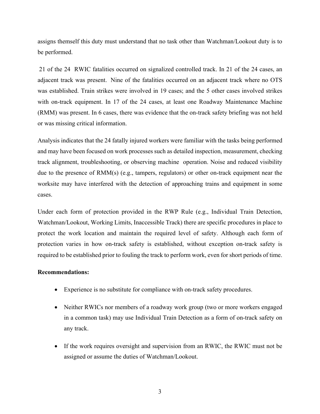assigns themself this duty must understand that no task other than Watchman/Lookout duty is to be performed.

21 of the 24 RWIC fatalities occurred on signalized controlled track. In 21 of the 24 cases, an adjacent track was present. Nine of the fatalities occurred on an adjacent track where no OTS was established. Train strikes were involved in 19 cases; and the 5 other cases involved strikes with on-track equipment. In 17 of the 24 cases, at least one Roadway Maintenance Machine (RMM) was present. In 6 cases, there was evidence that the on-track safety briefing was not held or was missing critical information.

Analysis indicates that the 24 fatally injured workers were familiar with the tasks being performed and may have been focused on work processes such as detailed inspection, measurement, checking track alignment, troubleshooting, or observing machine operation. Noise and reduced visibility due to the presence of RMM(s) (e.g., tampers, regulators) or other on-track equipment near the worksite may have interfered with the detection of approaching trains and equipment in some cases.

Under each form of protection provided in the RWP Rule (e.g., Individual Train Detection, Watchman/Lookout, Working Limits, Inaccessible Track) there are specific procedures in place to protect the work location and maintain the required level of safety. Although each form of protection varies in how on-track safety is established, without exception on-track safety is required to be established prior to fouling the track to perform work, even for short periods of time.

## **Recommendations:**

- Experience is no substitute for compliance with on-track safety procedures.
- Neither RWICs nor members of a roadway work group (two or more workers engaged in a common task) may use Individual Train Detection as a form of on-track safety on any track.
- If the work requires oversight and supervision from an RWIC, the RWIC must not be assigned or assume the duties of Watchman/Lookout.